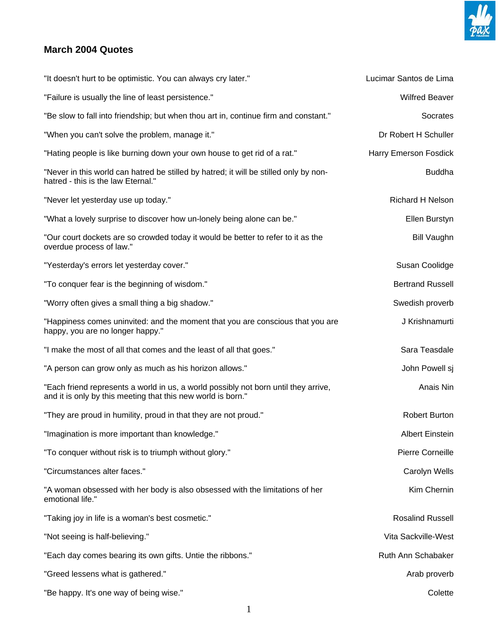

## **March 2004 Quotes**

| "It doesn't hurt to be optimistic. You can always cry later."                                                                                       | Lucimar Santos de Lima  |
|-----------------------------------------------------------------------------------------------------------------------------------------------------|-------------------------|
| "Failure is usually the line of least persistence."                                                                                                 | <b>Wilfred Beaver</b>   |
| "Be slow to fall into friendship; but when thou art in, continue firm and constant."                                                                | Socrates                |
| "When you can't solve the problem, manage it."                                                                                                      | Dr Robert H Schuller    |
| "Hating people is like burning down your own house to get rid of a rat."                                                                            | Harry Emerson Fosdick   |
| "Never in this world can hatred be stilled by hatred; it will be stilled only by non-<br>hatred - this is the law Eternal."                         | <b>Buddha</b>           |
| "Never let yesterday use up today."                                                                                                                 | <b>Richard H Nelson</b> |
| "What a lovely surprise to discover how un-lonely being alone can be."                                                                              | Ellen Burstyn           |
| "Our court dockets are so crowded today it would be better to refer to it as the<br>overdue process of law."                                        | <b>Bill Vaughn</b>      |
| "Yesterday's errors let yesterday cover."                                                                                                           | Susan Coolidge          |
| "To conquer fear is the beginning of wisdom."                                                                                                       | <b>Bertrand Russell</b> |
| "Worry often gives a small thing a big shadow."                                                                                                     | Swedish proverb         |
| "Happiness comes uninvited: and the moment that you are conscious that you are<br>happy, you are no longer happy."                                  | J Krishnamurti          |
| "I make the most of all that comes and the least of all that goes."                                                                                 | Sara Teasdale           |
| "A person can grow only as much as his horizon allows."                                                                                             | John Powell sj          |
| "Each friend represents a world in us, a world possibly not born until they arrive,<br>and it is only by this meeting that this new world is born." | Anais Nin               |
| "They are proud in humility, proud in that they are not proud."                                                                                     | <b>Robert Burton</b>    |
| "Imagination is more important than knowledge."                                                                                                     | <b>Albert Einstein</b>  |
| "To conquer without risk is to triumph without glory."                                                                                              | <b>Pierre Corneille</b> |
| "Circumstances alter faces."                                                                                                                        | Carolyn Wells           |
| "A woman obsessed with her body is also obsessed with the limitations of her<br>emotional life."                                                    | Kim Chernin             |
| "Taking joy in life is a woman's best cosmetic."                                                                                                    | <b>Rosalind Russell</b> |
| "Not seeing is half-believing."                                                                                                                     | Vita Sackville-West     |
| "Each day comes bearing its own gifts. Untie the ribbons."                                                                                          | Ruth Ann Schabaker      |
| "Greed lessens what is gathered."                                                                                                                   | Arab proverb            |
| "Be happy. It's one way of being wise."                                                                                                             | Colette                 |